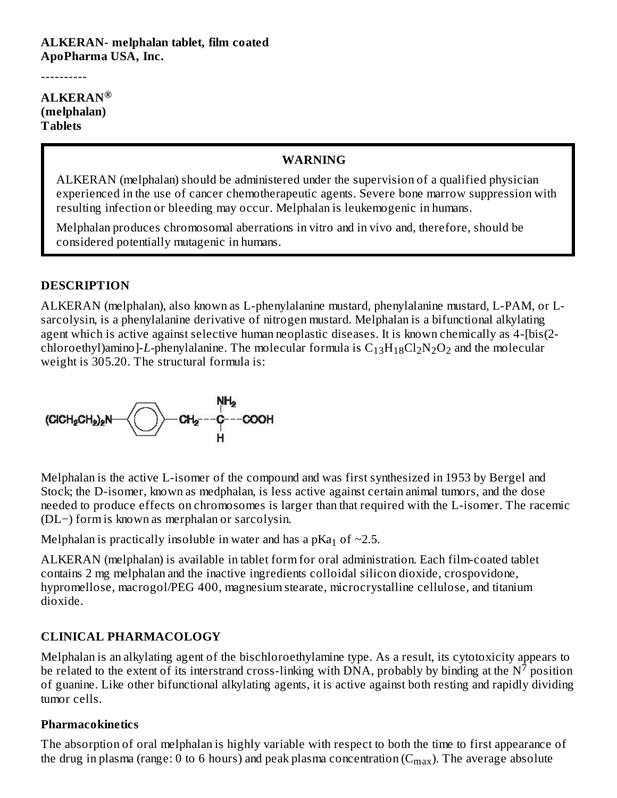#### **ALKERAN- melphalan tablet, film coated ApoPharma USA, Inc.**

----------

#### **ALKERAN ® (melphalan) Tablets**

#### **WARNING**

ALKERAN (melphalan) should be administered under the supervision of a qualified physician experienced in the use of cancer chemotherapeutic agents. Severe bone marrow suppression with resulting infection or bleeding may occur. Melphalan is leukemogenic in humans.

Melphalan produces chromosomal aberrations in vitro and in vivo and, therefore, should be considered potentially mutagenic in humans.

#### **DESCRIPTION**

ALKERAN (melphalan), also known as L-phenylalanine mustard, phenylalanine mustard, L-PAM, or Lsarcolysin, is a phenylalanine derivative of nitrogen mustard. Melphalan is a bifunctional alkylating agent which is active against selective human neoplastic diseases. It is known chemically as 4-[bis(2-  $\chlor$  oethyl)amino]-*L*-phenylalanine. The molecular formula is  $\rm C_{13}H_{18}Cl_2N_2O_2$  and the molecular weight is 305.20. The structural formula is:



Melphalan is the active L-isomer of the compound and was first synthesized in 1953 by Bergel and Stock; the D-isomer, known as medphalan, is less active against certain animal tumors, and the dose needed to produce effects on chromosomes is larger than that required with the L-isomer. The racemic (DL−) form is known as merphalan or sarcolysin.

Melphalan is practically insoluble in water and has a pKa $_1$  of  $\sim$ 2.5.

ALKERAN (melphalan) is available in tablet form for oral administration. Each film-coated tablet contains 2 mg melphalan and the inactive ingredients colloidal silicon dioxide, crospovidone, hypromellose, macrogol/PEG 400, magnesium stearate, microcrystalline cellulose, and titanium dioxide.

## **CLINICAL PHARMACOLOGY**

Melphalan is an alkylating agent of the bischloroethylamine type. As a result, its cytotoxicity appears to be related to the extent of its interstrand cross-linking with DNA, probably by binding at the  $N^7$  position of guanine. Like other bifunctional alkylating agents, it is active against both resting and rapidly dividing tumor cells.

#### **Pharmacokinetics**

The absorption of oral melphalan is highly variable with respect to both the time to first appearance of the drug in plasma (range: 0 to 6 hours) and peak plasma concentration ( $\rm{C_{max}}$ ). The average absolute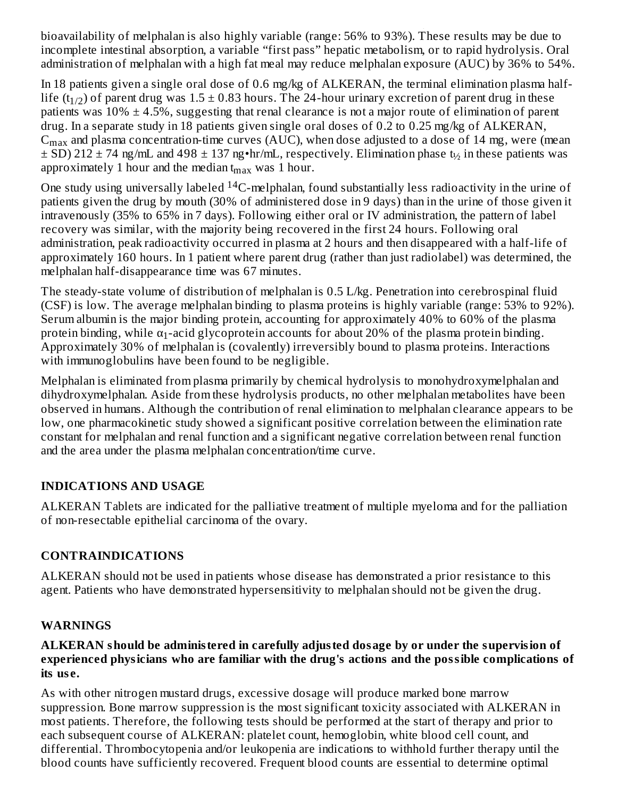bioavailability of melphalan is also highly variable (range: 56% to 93%). These results may be due to incomplete intestinal absorption, a variable "first pass" hepatic metabolism, or to rapid hydrolysis. Oral administration of melphalan with a high fat meal may reduce melphalan exposure (AUC) by 36% to 54%. ...<sub>...</sub>.

In 18 patients given a single oral dose of 0.6 mg/kg of ALKERAN, the terminal elimination plasma halflife (t<sub>1/2</sub>) of parent drug was  $1.5 \pm 0.83$  hours. The 24-hour urinary excretion of parent drug in these patients was  $10\% \pm 4.5\%$ , suggesting that renal clearance is not a major route of elimination of parent drug. In a separate study in 18 patients given single oral doses of 0.2 to 0.25 mg/kg of ALKERAN,  $\rm{C_{max}}$  and plasma concentration-time curves (AUC), when dose adjusted to a dose of 14 mg, were (mean  $\pm$  SD) 212  $\pm$  74 ng/mL and 498  $\pm$  137 ng•hr/mL, respectively. Elimination phase t $_{1/2}$  in these patients was approximately 1 hour and the median  $t_{\rm max}$  was 1 hour.

One study using universally labeled  $^{14}$ C-melphalan, found substantially less radioactivity in the urine of patients given the drug by mouth (30% of administered dose in 9 days) than in the urine of those given it intravenously (35% to 65% in 7 days). Following either oral or IV administration, the pattern of label recovery was similar, with the majority being recovered in the first 24 hours. Following oral administration, peak radioactivity occurred in plasma at 2 hours and then disappeared with a half-life of approximately 160 hours. In 1 patient where parent drug (rather than just radiolabel) was determined, the melphalan half-disappearance time was 67 minutes.

The steady-state volume of distribution of melphalan is 0.5 L/kg. Penetration into cerebrospinal fluid (CSF) is low. The average melphalan binding to plasma proteins is highly variable (range: 53% to 92%). Serum albumin is the major binding protein, accounting for approximately 40% to 60% of the plasma protein binding, while  $\alpha_1$ -acid glycoprotein accounts for about 20% of the plasma protein binding. Approximately 30% of melphalan is (covalently) irreversibly bound to plasma proteins. Interactions with immunoglobulins have been found to be negligible.

Melphalan is eliminated from plasma primarily by chemical hydrolysis to monohydroxymelphalan and dihydroxymelphalan. Aside from these hydrolysis products, no other melphalan metabolites have been observed in humans. Although the contribution of renal elimination to melphalan clearance appears to be low, one pharmacokinetic study showed a significant positive correlation between the elimination rate constant for melphalan and renal function and a significant negative correlation between renal function and the area under the plasma melphalan concentration/time curve.

## **INDICATIONS AND USAGE**

ALKERAN Tablets are indicated for the palliative treatment of multiple myeloma and for the palliation of non-resectable epithelial carcinoma of the ovary.

## **CONTRAINDICATIONS**

ALKERAN should not be used in patients whose disease has demonstrated a prior resistance to this agent. Patients who have demonstrated hypersensitivity to melphalan should not be given the drug.

## **WARNINGS**

#### **ALKERAN should be administered in carefully adjusted dosage by or under the supervision of experienced physicians who are familiar with the drug's actions and the possible complications of its us e.**

As with other nitrogen mustard drugs, excessive dosage will produce marked bone marrow suppression. Bone marrow suppression is the most significant toxicity associated with ALKERAN in most patients. Therefore, the following tests should be performed at the start of therapy and prior to each subsequent course of ALKERAN: platelet count, hemoglobin, white blood cell count, and differential. Thrombocytopenia and/or leukopenia are indications to withhold further therapy until the blood counts have sufficiently recovered. Frequent blood counts are essential to determine optimal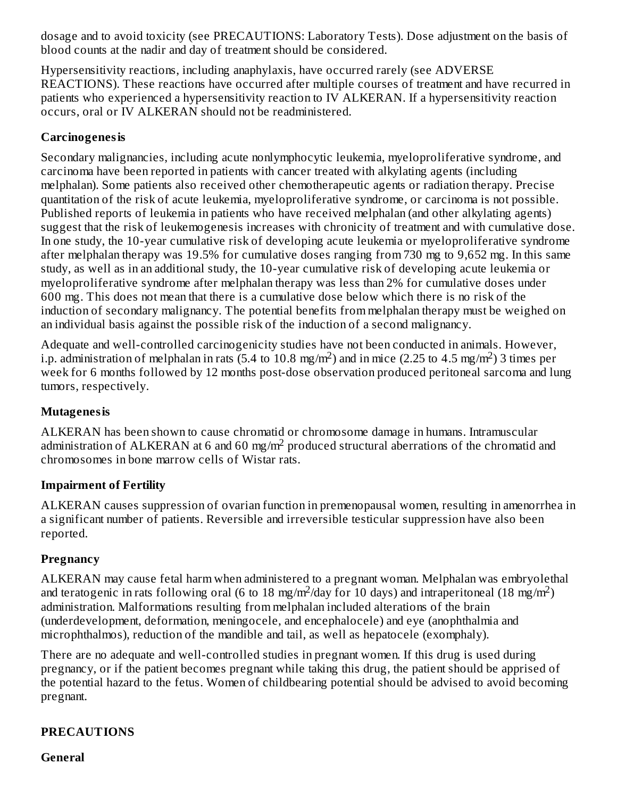dosage and to avoid toxicity (see PRECAUTIONS: Laboratory Tests). Dose adjustment on the basis of blood counts at the nadir and day of treatment should be considered.

Hypersensitivity reactions, including anaphylaxis, have occurred rarely (see ADVERSE REACTIONS). These reactions have occurred after multiple courses of treatment and have recurred in patients who experienced a hypersensitivity reaction to IV ALKERAN. If a hypersensitivity reaction occurs, oral or IV ALKERAN should not be readministered.

#### **Carcinogenesis**

Secondary malignancies, including acute nonlymphocytic leukemia, myeloproliferative syndrome, and carcinoma have been reported in patients with cancer treated with alkylating agents (including melphalan). Some patients also received other chemotherapeutic agents or radiation therapy. Precise quantitation of the risk of acute leukemia, myeloproliferative syndrome, or carcinoma is not possible. Published reports of leukemia in patients who have received melphalan (and other alkylating agents) suggest that the risk of leukemogenesis increases with chronicity of treatment and with cumulative dose. In one study, the 10-year cumulative risk of developing acute leukemia or myeloproliferative syndrome after melphalan therapy was 19.5% for cumulative doses ranging from 730 mg to 9,652 mg. In this same study, as well as in an additional study, the 10-year cumulative risk of developing acute leukemia or myeloproliferative syndrome after melphalan therapy was less than 2% for cumulative doses under 600 mg. This does not mean that there is a cumulative dose below which there is no risk of the induction of secondary malignancy. The potential benefits from melphalan therapy must be weighed on an individual basis against the possible risk of the induction of a second malignancy.

Adequate and well-controlled carcinogenicity studies have not been conducted in animals. However, i.p. administration of melphalan in rats (5.4 to 10.8 mg/m<sup>2</sup>) and in mice (2.25 to 4.5 mg/m<sup>2</sup>) 3 times per week for 6 months followed by 12 months post-dose observation produced peritoneal sarcoma and lung tumors, respectively.

## **Mutagenesis**

ALKERAN has been shown to cause chromatid or chromosome damage in humans. Intramuscular administration of ALKERAN at 6 and 60 mg/m<sup>2</sup> produced structural aberrations of the chromatid and chromosomes in bone marrow cells of Wistar rats.

## **Impairment of Fertility**

ALKERAN causes suppression of ovarian function in premenopausal women, resulting in amenorrhea in a significant number of patients. Reversible and irreversible testicular suppression have also been reported.

## **Pregnancy**

ALKERAN may cause fetal harm when administered to a pregnant woman. Melphalan was embryolethal and teratogenic in rats following oral (6 to 18 mg/m<sup>2</sup>/day for 10 days) and intraperitoneal (18 mg/m<sup>2</sup>) administration. Malformations resulting from melphalan included alterations of the brain (underdevelopment, deformation, meningocele, and encephalocele) and eye (anophthalmia and microphthalmos), reduction of the mandible and tail, as well as hepatocele (exomphaly).

There are no adequate and well-controlled studies in pregnant women. If this drug is used during pregnancy, or if the patient becomes pregnant while taking this drug, the patient should be apprised of the potential hazard to the fetus. Women of childbearing potential should be advised to avoid becoming pregnant.

## **PRECAUTIONS**

**General**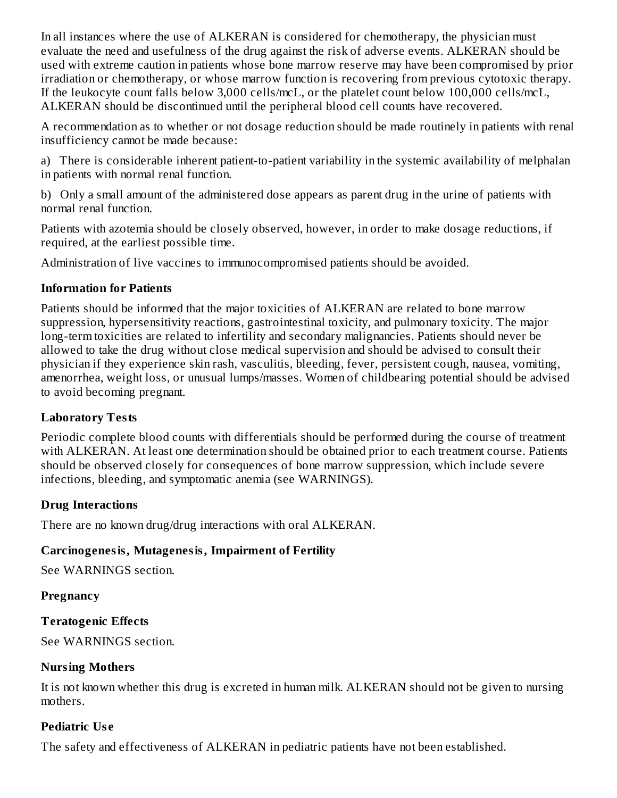In all instances where the use of ALKERAN is considered for chemotherapy, the physician must evaluate the need and usefulness of the drug against the risk of adverse events. ALKERAN should be used with extreme caution in patients whose bone marrow reserve may have been compromised by prior irradiation or chemotherapy, or whose marrow function is recovering from previous cytotoxic therapy. If the leukocyte count falls below 3,000 cells/mcL, or the platelet count below 100,000 cells/mcL, ALKERAN should be discontinued until the peripheral blood cell counts have recovered.

A recommendation as to whether or not dosage reduction should be made routinely in patients with renal insufficiency cannot be made because:

a) There is considerable inherent patient-to-patient variability in the systemic availability of melphalan in patients with normal renal function.

b) Only a small amount of the administered dose appears as parent drug in the urine of patients with normal renal function.

Patients with azotemia should be closely observed, however, in order to make dosage reductions, if required, at the earliest possible time.

Administration of live vaccines to immunocompromised patients should be avoided.

#### **Information for Patients**

Patients should be informed that the major toxicities of ALKERAN are related to bone marrow suppression, hypersensitivity reactions, gastrointestinal toxicity, and pulmonary toxicity. The major long-term toxicities are related to infertility and secondary malignancies. Patients should never be allowed to take the drug without close medical supervision and should be advised to consult their physician if they experience skin rash, vasculitis, bleeding, fever, persistent cough, nausea, vomiting, amenorrhea, weight loss, or unusual lumps/masses. Women of childbearing potential should be advised to avoid becoming pregnant.

#### **Laboratory Tests**

Periodic complete blood counts with differentials should be performed during the course of treatment with ALKERAN. At least one determination should be obtained prior to each treatment course. Patients should be observed closely for consequences of bone marrow suppression, which include severe infections, bleeding, and symptomatic anemia (see WARNINGS).

#### **Drug Interactions**

There are no known drug/drug interactions with oral ALKERAN.

#### **Carcinogenesis, Mutagenesis, Impairment of Fertility**

See WARNINGS section.

#### **Pregnancy**

#### **Teratogenic Effects**

See WARNINGS section.

#### **Nursing Mothers**

It is not known whether this drug is excreted in human milk. ALKERAN should not be given to nursing mothers.

#### **Pediatric Us e**

The safety and effectiveness of ALKERAN in pediatric patients have not been established.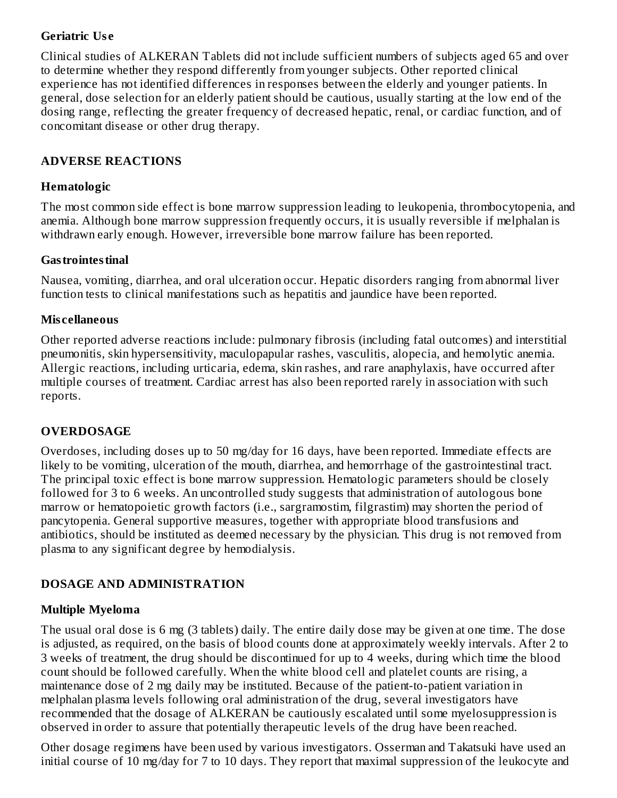#### **Geriatric Us e**

Clinical studies of ALKERAN Tablets did not include sufficient numbers of subjects aged 65 and over to determine whether they respond differently from younger subjects. Other reported clinical experience has not identified differences in responses between the elderly and younger patients. In general, dose selection for an elderly patient should be cautious, usually starting at the low end of the dosing range, reflecting the greater frequency of decreased hepatic, renal, or cardiac function, and of concomitant disease or other drug therapy.

#### **ADVERSE REACTIONS**

#### **Hematologic**

The most common side effect is bone marrow suppression leading to leukopenia, thrombocytopenia, and anemia. Although bone marrow suppression frequently occurs, it is usually reversible if melphalan is withdrawn early enough. However, irreversible bone marrow failure has been reported.

#### **Gastrointestinal**

Nausea, vomiting, diarrhea, and oral ulceration occur. Hepatic disorders ranging from abnormal liver function tests to clinical manifestations such as hepatitis and jaundice have been reported.

#### **Mis cellaneous**

Other reported adverse reactions include: pulmonary fibrosis (including fatal outcomes) and interstitial pneumonitis, skin hypersensitivity, maculopapular rashes, vasculitis, alopecia, and hemolytic anemia. Allergic reactions, including urticaria, edema, skin rashes, and rare anaphylaxis, have occurred after multiple courses of treatment. Cardiac arrest has also been reported rarely in association with such reports.

## **OVERDOSAGE**

Overdoses, including doses up to 50 mg/day for 16 days, have been reported. Immediate effects are likely to be vomiting, ulceration of the mouth, diarrhea, and hemorrhage of the gastrointestinal tract. The principal toxic effect is bone marrow suppression. Hematologic parameters should be closely followed for 3 to 6 weeks. An uncontrolled study suggests that administration of autologous bone marrow or hematopoietic growth factors (i.e., sargramostim, filgrastim) may shorten the period of pancytopenia. General supportive measures, together with appropriate blood transfusions and antibiotics, should be instituted as deemed necessary by the physician. This drug is not removed from plasma to any significant degree by hemodialysis.

## **DOSAGE AND ADMINISTRATION**

#### **Multiple Myeloma**

The usual oral dose is 6 mg (3 tablets) daily. The entire daily dose may be given at one time. The dose is adjusted, as required, on the basis of blood counts done at approximately weekly intervals. After 2 to 3 weeks of treatment, the drug should be discontinued for up to 4 weeks, during which time the blood count should be followed carefully. When the white blood cell and platelet counts are rising, a maintenance dose of 2 mg daily may be instituted. Because of the patient-to-patient variation in melphalan plasma levels following oral administration of the drug, several investigators have recommended that the dosage of ALKERAN be cautiously escalated until some myelosuppression is observed in order to assure that potentially therapeutic levels of the drug have been reached.

Other dosage regimens have been used by various investigators. Osserman and Takatsuki have used an initial course of 10 mg/day for 7 to 10 days. They report that maximal suppression of the leukocyte and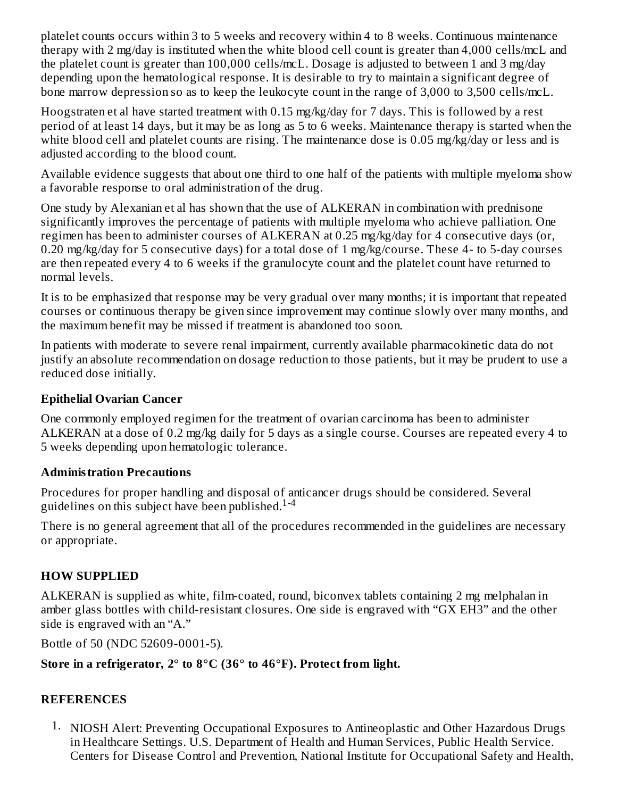platelet counts occurs within 3 to 5 weeks and recovery within 4 to 8 weeks. Continuous maintenance therapy with 2 mg/day is instituted when the white blood cell count is greater than 4,000 cells/mcL and the platelet count is greater than 100,000 cells/mcL. Dosage is adjusted to between 1 and 3 mg/day depending upon the hematological response. It is desirable to try to maintain a significant degree of bone marrow depression so as to keep the leukocyte count in the range of 3,000 to 3,500 cells/mcL.

Hoogstraten et al have started treatment with 0.15 mg/kg/day for 7 days. This is followed by a rest period of at least 14 days, but it may be as long as 5 to 6 weeks. Maintenance therapy is started when the white blood cell and platelet counts are rising. The maintenance dose is 0.05 mg/kg/day or less and is adjusted according to the blood count.

Available evidence suggests that about one third to one half of the patients with multiple myeloma show a favorable response to oral administration of the drug.

One study by Alexanian et al has shown that the use of ALKERAN in combination with prednisone significantly improves the percentage of patients with multiple myeloma who achieve palliation. One regimen has been to administer courses of ALKERAN at 0.25 mg/kg/day for 4 consecutive days (or, 0.20 mg/kg/day for 5 consecutive days) for a total dose of 1 mg/kg/course. These 4- to 5-day courses are then repeated every 4 to 6 weeks if the granulocyte count and the platelet count have returned to normal levels.

It is to be emphasized that response may be very gradual over many months; it is important that repeated courses or continuous therapy be given since improvement may continue slowly over many months, and the maximum benefit may be missed if treatment is abandoned too soon.

In patients with moderate to severe renal impairment, currently available pharmacokinetic data do not justify an absolute recommendation on dosage reduction to those patients, but it may be prudent to use a reduced dose initially.

#### **Epithelial Ovarian Cancer**

One commonly employed regimen for the treatment of ovarian carcinoma has been to administer ALKERAN at a dose of 0.2 mg/kg daily for 5 days as a single course. Courses are repeated every 4 to 5 weeks depending upon hematologic tolerance.

#### **Administration Precautions**

Procedures for proper handling and disposal of anticancer drugs should be considered. Several guidelines on this subject have been published. 1-4

There is no general agreement that all of the procedures recommended in the guidelines are necessary or appropriate.

## **HOW SUPPLIED**

ALKERAN is supplied as white, film-coated, round, biconvex tablets containing 2 mg melphalan in amber glass bottles with child-resistant closures. One side is engraved with "GX EH3" and the other side is engraved with an "A."

Bottle of 50 (NDC 52609-0001-5).

# **Store in a refrigerator, 2° to 8°C (36° to 46°F). Protect from light.**

# **REFERENCES**

1. NIOSH Alert: Preventing Occupational Exposures to Antineoplastic and Other Hazardous Drugs in Healthcare Settings. U.S. Department of Health and Human Services, Public Health Service. Centers for Disease Control and Prevention, National Institute for Occupational Safety and Health,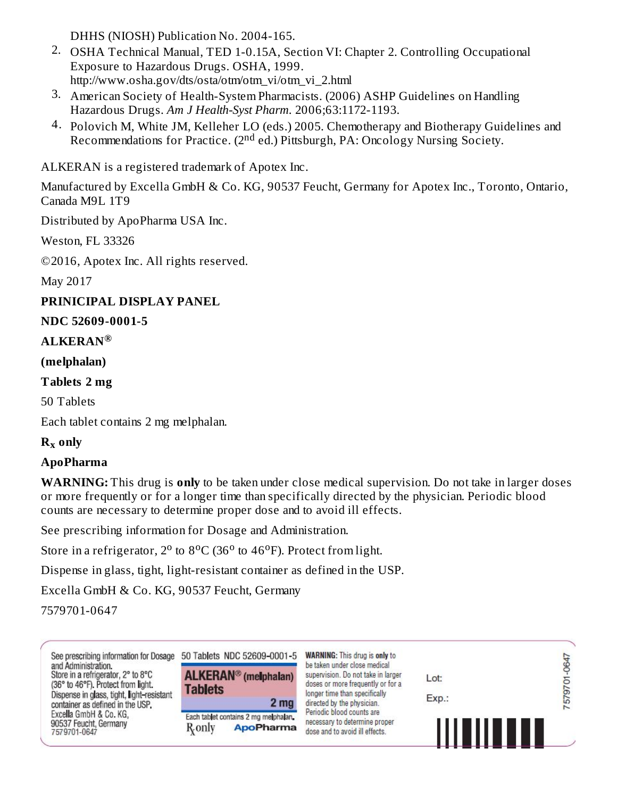DHHS (NIOSH) Publication No. 2004-165.

- 2. OSHA Technical Manual, TED 1-0.15A, Section VI: Chapter 2. Controlling Occupational Exposure to Hazardous Drugs. OSHA, 1999. http://www.osha.gov/dts/osta/otm/otm\_vi/otm\_vi\_2.html
- 3. American Society of Health-System Pharmacists. (2006) ASHP Guidelines on Handling Hazardous Drugs. *Am J Health-Syst Pharm.* 2006;63:1172-1193.
- 4. Polovich M, White JM, Kelleher LO (eds.) 2005. Chemotherapy and Biotherapy Guidelines and Recommendations for Practice.  $(2^{nd}$  ed.) Pittsburgh, PA: Oncology Nursing Society.

ALKERAN is a registered trademark of Apotex Inc.

Manufactured by Excella GmbH & Co. KG, 90537 Feucht, Germany for Apotex Inc., Toronto, Ontario, Canada M9L 1T9

Distributed by ApoPharma USA Inc.

Weston, FL 33326

©2016, Apotex Inc. All rights reserved.

May 2017

# **PRINICIPAL DISPLAY PANEL**

## **NDC 52609-0001-5**

**ALKERAN ®**

## **(melphalan)**

# **Tablets 2 mg**

50 Tablets

Each tablet contains 2 mg melphalan.

# **R only x**

# **ApoPharma**

**WARNING:** This drug is **only** to be taken under close medical supervision. Do not take in larger doses or more frequently or for a longer time than specifically directed by the physician. Periodic blood counts are necessary to determine proper dose and to avoid ill effects.

See prescribing information for Dosage and Administration.

Store in a refrigerator,  $2^{\circ}$  to  $8^{\circ}$ C (36 $^{\circ}$  to 46 $^{\circ}$ F). Protect from light.

Dispense in glass, tight, light-resistant container as defined in the USP.

Excella GmbH & Co. KG, 90537 Feucht, Germany

7579701-0647

See prescribing information for Dosage 50 Tablets NDC 52609-0001-5 and Administration. Store in a refrigerator, 2° to 8°C (36° to 46°F). Protect from light. Dispense in glass, tight, light-resistant container as defined in the USP. Excella GmbH & Co. KG, 90537 Feucht, Germany 7579701-0647

**ALKERAN<sup>®</sup>** (melphalan) **Tablets**  $2 \, \text{mg}$ Each tablet contains 2 mg melphalan. R<sub>only</sub> ApoPharma

**WARNING:** This drug is only to be taken under close medical supervision. Do not take in larger doses or more frequently or for a longer time than specifically directed by the physician. Periodic blood counts are necessary to determine proper dose and to avoid ill effects.